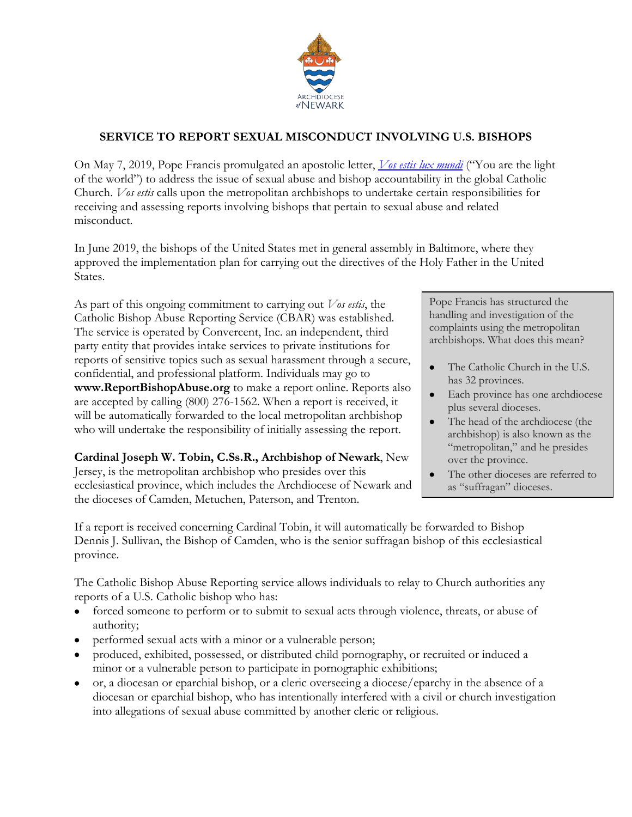

## **SERVICE TO REPORT SEXUAL MISCONDUCT INVOLVING U.S. BISHOPS**

On May 7, 2019, Pope Francis promulgated an apostolic letter, *[Vos estis lux mundi](http://www.vatican.va/content/francesco/en/motu_proprio/documents/papa-francesco-motu-proprio-20190507_vos-estis-lux-mundi.html)* ("You are the light of the world") to address the issue of sexual abuse and bishop accountability in the global Catholic Church. *Vos estis* calls upon the metropolitan archbishops to undertake certain responsibilities for receiving and assessing reports involving bishops that pertain to sexual abuse and related misconduct.

In June 2019, the bishops of the United States met in general assembly in Baltimore, where they approved the implementation plan for carrying out the directives of the Holy Father in the United States.

As part of this ongoing commitment to carrying out *Vos estis*, the Catholic Bishop Abuse Reporting Service (CBAR) was established. The service is operated by Convercent, Inc. an independent, third party entity that provides intake services to private institutions for reports of sensitive topics such as sexual harassment through a secure, confidential, and professional platform. Individuals may go to **www.ReportBishopAbuse.org** to make a report online. Reports also are accepted by calling (800) 276-1562. When a report is received, it will be automatically forwarded to the local metropolitan archbishop who will undertake the responsibility of initially assessing the report.

**Cardinal Joseph W. Tobin, C.Ss.R., Archbishop of Newark**, New Jersey, is the metropolitan archbishop who presides over this ecclesiastical province, which includes the Archdiocese of Newark and the dioceses of Camden, Metuchen, Paterson, and Trenton.

Pope Francis has structured the handling and investigation of the complaints using the metropolitan archbishops. What does this mean?

- The Catholic Church in the U.S. has 32 provinces.
- Each province has one archdiocese plus several dioceses.
- The head of the archdiocese (the archbishop) is also known as the "metropolitan," and he presides over the province.
- The other dioceses are referred to as "suffragan" dioceses.

If a report is received concerning Cardinal Tobin, it will automatically be forwarded to Bishop Dennis J. Sullivan, the Bishop of Camden, who is the senior suffragan bishop of this ecclesiastical province.

The Catholic Bishop Abuse Reporting service allows individuals to relay to Church authorities any reports of a U.S. Catholic bishop who has:

- forced someone to perform or to submit to sexual acts through violence, threats, or abuse of authority;
- performed sexual acts with a minor or a vulnerable person;
- produced, exhibited, possessed, or distributed child pornography, or recruited or induced a minor or a vulnerable person to participate in pornographic exhibitions;
- or, a diocesan or eparchial bishop, or a cleric overseeing a diocese/eparchy in the absence of a diocesan or eparchial bishop, who has intentionally interfered with a civil or church investigation into allegations of sexual abuse committed by another cleric or religious.